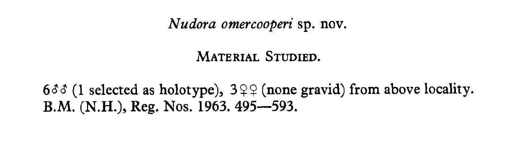# Nudora omercooperi sp. nov.

MATERIAL STUDIED.

633 (1 selected as holotype),  $3\sqrt{2}$  (none gravid) from above locality. B.M. (N.H.), Reg. Nos. 1963. 495–593.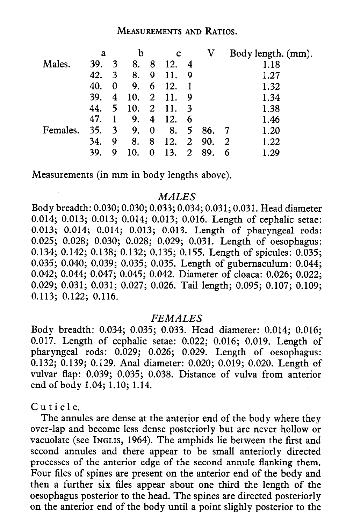## MEASUREMENTS AND RATIOS.

| a   |   | b   |          | c   |    | V   |             | Body length. (mm). |  |
|-----|---|-----|----------|-----|----|-----|-------------|--------------------|--|
| 39. | 3 | 8.  | 8        | 12. | 4  |     |             | 1.18               |  |
| 42. | 3 | 8.  | 9        | 11. | 9  |     |             | 1.27               |  |
| 40. | 0 | 9.  | 6        | 12. |    |     |             | 1.32               |  |
| 39. | 4 | 10. | 2        | 11. | 9  |     |             | 1.34               |  |
| 44. | 5 | 10. | 2        | 11. | -3 |     |             | 1.38               |  |
| 47. |   | 9.  | 4        | 12. | 6  |     |             | 1.46               |  |
| 35. | 3 | 9.  | $\bf{0}$ | 8.  | 5. | 86. |             | 1.20               |  |
| 34. | 9 | 8.  | 8        | 12. |    | 90. |             | 1.22               |  |
| 39. | 9 | 10. | 0        | 13. | 2  | 89. |             | 1.29               |  |
|     |   |     |          |     |    |     | $2^{\circ}$ | $\overline{2}$     |  |

Measurements (in mm in body lengths above).

### **MALES**

Body breadth: 0.030; 0.030; 0.033; 0.034; 0.031; 0.031. Head diameter 0.014; 0.013; 0.013; 0.014; 0.013; 0.016. Length of cephalic setae: 0.013; 0.014; 0.014; 0.013; 0.013. Length of pharyngeal rods: 0.025; 0.028; 0.030; 0.028; 0.029; 0.031. Length of oesophagus: 0.134; 0.142; 0.138; 0.132; 0.135; 0.155. Length of spicules: 0.035; 0.035; 0.040; 0.039; 0.035; 0.035. Length of gubernaculum: 0.044; 0.042; 0.044; 0.047; 0.045; 0.042. Diameter of cloaca: 0.026; 0.022; 0.029; 0.031; 0.031; 0.027; 0.026. Tail length; 0.095; 0.107; 0.109; 0.113; 0.122; 0.116.

### FEMALES

Body breadth: 0.034; 0.035; 0.033. Head diameter: 0.014; 0.016; 0.017. Length of cephalic setae: 0.022; 0.016; 0.019. Length of pharyngeal rods: 0.029; 0.026; 0.029. Length of oesophagus: 0.132; 0.139; 0.129. Anal diameter: 0.020; 0.019; 0.020. Length of vulvar flap: 0.039; 0.035; 0.038. Distance of vulva from anterior end of body 1.04; 1.10; 1.14.

Cuticle.

The annules are dense at the anterior end of the body where they over-lap and become less dense posteriorly but are never hollow or vacuolate (see INGLIS, 1964). The amphids lie between the first and second annules and there appear to be small anteriorly directed processes of the anterior edge of the second annule flanking them. Four files of spines are present on the anterior end of the body and then a further six files appear about one third the length of the oesophagus posterior to the head. The spines are directed posteriorly on the anterior end of the body until a point slighly posterior to the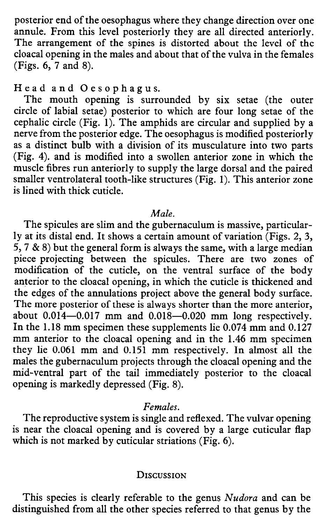posterior end of the oesophagus where they change direction over one annule. From this level posteriorly they are all directed anteriorly. The arrangement of the spines is distorted about the level of the cloacal opening in the males and about that of the vulva in the females (Figs. 6, 7 and 8).

Head and Oesophagus.

The mouth opening is surrounded by six setae (the outer circle of labial setae) posterior to which are four long setae of the cephalic circle (Fig. 1). The amphids are circular and supplied by a nerve from the posterior edge. The oesophagus is modified posteriorly as a distinct bulb with a division of its musculature into two parts (Fig. 4). and is modified into a swollen anterior zone in which the muscle fibres run anteriorly to supply the large dorsal and the paired smaller ventrolateral tooth-like structures (Fig. 1). This anterior zone is lined with thick cuticle.

#### Male.

The spicules are slim and the gubernaculum is massive, particularly at its distal end. It shows a certain amount of variation (Figs. 2, 3, 5, 7 & 8) but the general form is always the same, with a large median piece projecting between the spicules. There are two zones of modification of the cuticle, on the ventral surface of the body anterior to the cloaca1 opening, in which the cuticle is thickened and the edges of the annulations project above the general body surface. The more posterior of these is always shorter than the more anterior, about  $0.014-0.017$  mm and  $0.018-0.020$  mm long respectively. In the 1.18 mm specimen these supplements lie 0.074 mm and 0.127 mm anterior to the cloacal opening and in the 1.46 mm specimen they lie 0.061 mm and 0.151 mm respectively. In almost all the males the gubernaculum projects through the cloaca1 opening and the mid-ventral part of the tail immediately posterior to the cloaca1 opening is markedly depressed (Fig. 8).

# Females.

The reproductive system is single and reflexed. The vulvar opening is near the cloacal opening and is covered by a large cuticular flap which is not marked by cuticular striations (Fig. 6).

#### **DISCUSSION**

This species is clearly referable to the genus Nudora and can be distinguished from all the other species referred to that genus by the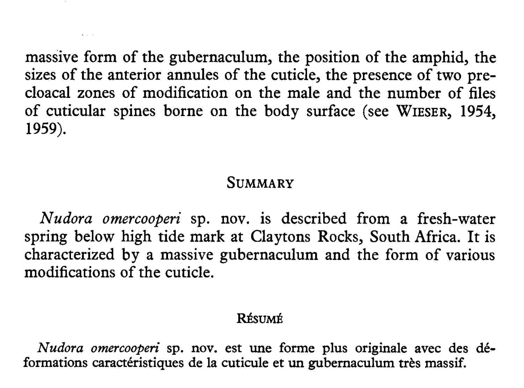massive form of the gubernaculum, the position of the amphid, the sizes of the anterior annules of the cuticle, the presence of two precloaca1 zones of modification on the male and the number of files of cuticular spines borne on the body surface (see WIESER, 1954, 1959).

# **SUMMARY**

Nudora omercooperi sp. nov. is described from a fresh-water spring below high tide mark at Claytons Rocks, South Africa. It is characterized by a massive gubernaculum and the form of various modifications of the cuticle.

#### RÉSUMÉ

Nudora omercooperi sp. nov. est une forme plus originale avec des déformations caractéristiques de la cuticule et un gubernaculum tres massif.